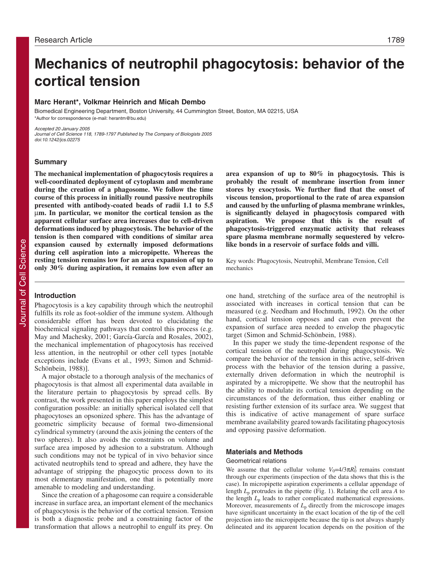# **Mechanics of neutrophil phagocytosis: behavior of the cortical tension**

# **Marc Herant\*, Volkmar Heinrich and Micah Dembo**

Biomedical Engineering Department, Boston University, 44 Cummington Street, Boston, MA 02215, USA \*Author for correspondence (e-mail: herantm@bu.edu)

Accepted 20 January 2005 Journal of Cell Science 118, 1789-1797 Published by The Company of Biologists 2005 doi:10.1242/jcs.02275

# **Summary**

**The mechanical implementation of phagocytosis requires a well-coordinated deployment of cytoplasm and membrane during the creation of a phagosome. We follow the time course of this process in initially round passive neutrophils presented with antibody-coated beads of radii 1.1 to 5.5** µ**m. In particular, we monitor the cortical tension as the apparent cellular surface area increases due to cell-driven deformations induced by phagocytosis. The behavior of the tension is then compared with conditions of similar area expansion caused by externally imposed deformations during cell aspiration into a micropipette. Whereas the resting tension remains low for an area expansion of up to only 30% during aspiration, it remains low even after an**

#### **Introduction**

Phagocytosis is a key capability through which the neutrophil fulfills its role as foot-soldier of the immune system. Although considerable effort has been devoted to elucidating the biochemical signaling pathways that control this process (e.g. May and Machesky, 2001; García-García and Rosales, 2002), the mechanical implementation of phagocytosis has received less attention, in the neutrophil or other cell types [notable exceptions include (Evans et al., 1993; Simon and Schmid-Schönbein, 1988)].

A major obstacle to a thorough analysis of the mechanics of phagocytosis is that almost all experimental data available in the literature pertain to phagocytosis by spread cells. By contrast, the work presented in this paper employs the simplest configuration possible: an initially spherical isolated cell that phagocytoses an opsonized sphere. This has the advantage of geometric simplicity because of formal two-dimensional cylindrical symmetry (around the axis joining the centers of the two spheres). It also avoids the constraints on volume and surface area imposed by adhesion to a substratum. Although such conditions may not be typical of in vivo behavior since activated neutrophils tend to spread and adhere, they have the advantage of stripping the phagocytic process down to its most elementary manifestation, one that is potentially more amenable to modeling and understanding.

Since the creation of a phagosome can require a considerable increase in surface area, an important element of the mechanics of phagocytosis is the behavior of the cortical tension. Tension is both a diagnostic probe and a constraining factor of the transformation that allows a neutrophil to engulf its prey. On

**area expansion of up to 80% in phagocytosis. This is probably the result of membrane insertion from inner stores by exocytosis. We further find that the onset of viscous tension, proportional to the rate of area expansion and caused by the unfurling of plasma membrane wrinkles, is significantly delayed in phagocytosis compared with aspiration. We propose that this is the result of phagocytosis-triggered enzymatic activity that releases spare plasma membrane normally sequestered by velcrolike bonds in a reservoir of surface folds and villi.**

Key words: Phagocytosis, Neutrophil, Membrane Tension, Cell mechanics

one hand, stretching of the surface area of the neutrophil is associated with increases in cortical tension that can be measured (e.g. Needham and Hochmuth, 1992). On the other hand, cortical tension opposes and can even prevent the expansion of surface area needed to envelop the phagocytic target (Simon and Schmid-Schönbein, 1988).

In this paper we study the time-dependent response of the cortical tension of the neutrophil during phagocytosis. We compare the behavior of the tension in this active, self-driven process with the behavior of the tension during a passive, externally driven deformation in which the neutrophil is aspirated by a micropipette. We show that the neutrophil has the ability to modulate its cortical tension depending on the circumstances of the deformation, thus either enabling or resisting further extension of its surface area. We suggest that this is indicative of active management of spare surface membrane availability geared towards facilitating phagocytosis and opposing passive deformation.

## **Materials and Methods**

## Geometrical relations

We assume that the cellular volume  $V_0=4/3\pi R_0^3$  remains constant through our experiments (inspection of the data shows that this is the case). In micropipette aspiration experiments a cellular appendage of length *L*<sup>p</sup> protrudes in the pipette (Fig. 1). Relating the cell area *A* to the length *L*<sup>p</sup> leads to rather complicated mathematical expressions. Moreover, measurements of  $L_p$  directly from the microscope images have significant uncertainty in the exact location of the tip of the cell projection into the micropipette because the tip is not always sharply delineated and its apparent location depends on the position of the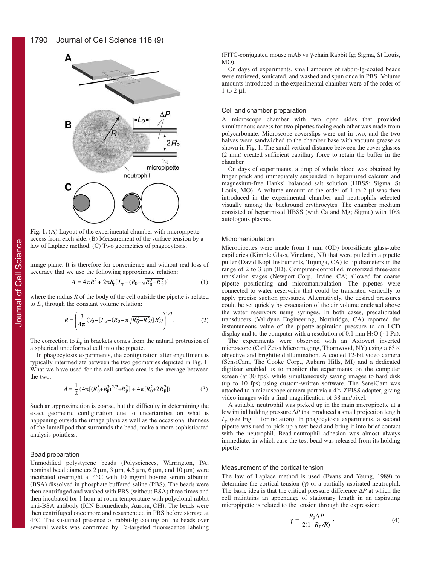

**Fig. 1.** (A) Layout of the experimental chamber with micropipette access from each side. (B) Measurement of the surface tension by a law of Laplace method. (C) Two geometries of phagocytosis.

image plane. It is therefore for convenience and without real loss of accuracy that we use the following approximate relation:

$$
A = 4\pi R^2 + 2\pi R_p [L_p - (R_0 - \sqrt{R_0^2 - R_p^2})], \qquad (1)
$$

where the radius  $R$  of the body of the cell outside the pipette is related to  $L_p$  through the constant volume relation:

$$
R = \left(\frac{3}{4\pi} (V_0 - [L_p - (R_0 - \pi \sqrt{R_0^2 - R_p^2})] R_p^2) \right)^{1/3}.
$$
 (2)

The correction to  $L_p$  in brackets comes from the natural protrusion of a spherical undeformed cell into the pipette.

In phagocytosis experiments, the configuration after engulfment is typically intermediate between the two geometries depicted in Fig. 1. What we have used for the cell surface area is the average between the two:

$$
A = \frac{1}{2} \left( 4\pi \left[ (R_0^3 + R_\text{p}^3)^{2/3} + R_\text{p}^2 \right] + 4\pi \left[ R_0^2 + 2R_\text{p}^2 \right] \right) . \tag{3}
$$

Such an approximation is coarse, but the difficulty in determining the exact geometric configuration due to uncertainties on what is happening outside the image plane as well as the occasional thinness of the lamellipod that surrounds the bead, make a more sophisticated analysis pointless.

# Bead preparation

Unmodified polystyrene beads (Polysciences, Warrington, PA; nominal bead diameters  $2 \mu m$ ,  $3 \mu m$ ,  $4.5 \mu m$ ,  $6 \mu m$ , and  $10 \mu m$ ) were incubated overnight at 4°C with 10 mg/ml bovine serum albumin (BSA) dissolved in phosphate buffered saline (PBS). The beads were then centrifuged and washed with PBS (without BSA) three times and then incubated for 1 hour at room temperature with polyclonal rabbit anti-BSA antibody (ICN Biomedicals, Aurora, OH). The beads were then centrifuged once more and resuspended in PBS before storage at 4°C. The sustained presence of rabbit-Ig coating on the beads over several weeks was confirmed by Fc-targeted fluorescence labeling

(FITC-conjugated mouse mAb vs γ-chain Rabbit Ig; Sigma, St Louis, MO).

On days of experiments, small amounts of rabbit-Ig-coated beads were retrieved, sonicated, and washed and spun once in PBS. Volume amounts introduced in the experimental chamber were of the order of 1 to 2 µl.

#### Cell and chamber preparation

A microscope chamber with two open sides that provided simultaneous access for two pipettes facing each other was made from polycarbonate. Microscope coverslips were cut in two, and the two halves were sandwiched to the chamber base with vacuum grease as shown in Fig. 1. The small vertical distance between the cover glasses (2 mm) created sufficient capillary force to retain the buffer in the chamber.

On days of experiments, a drop of whole blood was obtained by finger prick and immediately suspended in heparinized calcium and magnesium-free Hanks' balanced salt solution (HBSS; Sigma, St Louis, MO). A volume amount of the order of 1 to 2 µl was then introduced in the experimental chamber and neutrophils selected visually among the backround erythrocytes. The chamber medium consisted of heparinized HBSS (with Ca and Mg; Sigma) with 10% autologous plasma.

## Micromanipulation

Micropipettes were made from 1 mm (OD) borosilicate glass-tube capillaries (Kimble Glass, Vineland, NJ) that were pulled in a pipette puller (David Kopf Instruments, Tujunga, CA) to tip diameters in the range of 2 to 3  $\mu$ m (ID). Computer-controlled, motorized three-axis translation stages (Newport Corp., Irvine, CA) allowed for coarse pipette positioning and micromanipulation. The pipettes were connected to water reservoirs that could be translated vertically to apply precise suction pressures. Alternatively, the desired pressures could be set quickly by evacuation of the air volume enclosed above the water reservoirs using syringes. In both cases, precalibrated transducers (Validyne Engineering, Northridge, CA) reported the instantaneous value of the pipette-aspiration pressure to an LCD display and to the computer with a resolution of 0.1 mm H<sub>2</sub>O ( $\sim$ 1 Pa).

The experiments were observed with an Axiovert inverted microscope (Carl Zeiss Microimaging, Thornwood, NY) using a  $63\times$ objective and brightfield illumination. A cooled 12-bit video camera (SensiCam, The Cooke Corp., Auburn Hills, MI) and a dedicated digitizer enabled us to monitor the experiments on the computer screen (at 30 fps), while simultaneously saving images to hard disk (up to 10 fps) using custom-written software. The SensiCam was attached to a microscope camera port via a  $4 \times$  ZEISS adapter, giving video images with a final magnification of 38 nm/pixel.

A suitable neutrophil was picked up in the main micropipette at a low initial holding pressure ∆*P* that produced a small projection length *L*<sup>p</sup> (see Fig. 1 for notation). In phagocytosis experiments, a second pipette was used to pick up a test bead and bring it into brief contact with the neutrophil. Bead-neutrophil adhesion was almost always immediate, in which case the test bead was released from its holding pipette.

## Measurement of the cortical tension

The law of Laplace method is used (Evans and Yeung, 1989) to determine the cortical tension (γ) of a partially aspirated neutrophil. The basic idea is that the critical pressure difference ∆*P* at which the cell maintains an appendage of stationary length in an aspirating micropipette is related to the tension through the expression:

$$
\gamma = \frac{R_{\rm p}\Delta P}{2(1 - R_{\rm p}/R)} \,, \tag{4}
$$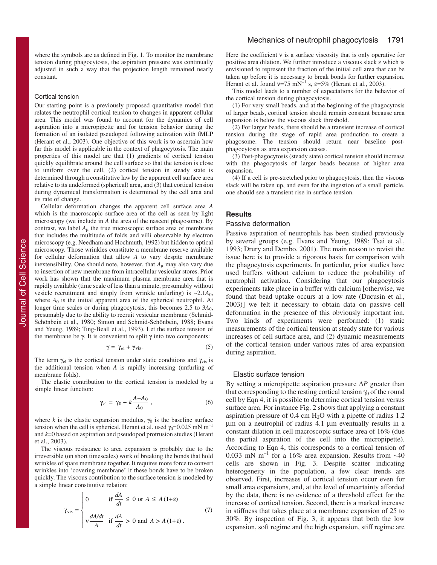where the symbols are as defined in Fig. 1. To monitor the membrane tension during phagocytosis, the aspiration pressure was continually adjusted in such a way that the projection length remained nearly constant.

#### Cortical tension

Our starting point is a previously proposed quantitative model that relates the neutrophil cortical tension to changes in apparent cellular area. This model was found to account for the dynamics of cell aspiration into a micropipette and for tension behavior during the formation of an isolated pseudopod following activation with fMLP (Herant et al., 2003). One objective of this work is to ascertain how far this model is applicable in the context of phagocytosis. The main properties of this model are that (1) gradients of cortical tension quickly equilibrate around the cell surface so that the tension is close to uniform over the cell, (2) cortical tension in steady state is determined through a constitutive law by the apparent cell surface area relative to its undeformed (spherical) area, and (3) that cortical tension during dynamical transformation is determined by the cell area and its rate of change.

Cellular deformation changes the apparent cell surface area *A* which is the macroscopic surface area of the cell as seen by light microscopy (we include in *A* the area of the nascent phagosome). By contrast, we label  $A<sub>u</sub>$  the true microscopic surface area of membrane that includes the multitude of folds and villi observable by electron microscopy (e.g. Needham and Hochmuth, 1992) but hidden to optical microscopy. Those wrinkles constitute a membrane reserve available for cellular deformation that allow *A* to vary despite membrane inextensibility. One should note, however, that  $A<sub>u</sub>$  may also vary due to insertion of new membrane from intracellular vesicular stores. Prior work has shown that the maximum plasma membrane area that is rapidly available (time scale of less than a minute, presumably without vesicle recruitment and simply from wrinkle unfurling) is  $\sim 2.1A_0$ , where  $A_0$  is the initial apparent area of the spherical neutrophil. At longer time scales or during phagocytosis, this becomes 2.5 to 3*A*0, presumably due to the ability to recruit vesicular membrane (Schmid-Schönbein et al., 1980; Simon and Schmid-Schönbein, 1988; Evans and Yeung, 1989; Ting-Beall et al., 1993). Let the surface tension of the membrane be γ. It is convenient to split  $γ$  into two components:

$$
\gamma = \gamma_{\rm el} + \gamma_{\rm vis} \,. \tag{5}
$$

The term  $\gamma_{el}$  is the cortical tension under static conditions and  $\gamma_{vis}$  is the additional tension when *A* is rapidly increasing (unfurling of membrane folds).

The elastic contribution to the cortical tension is modeled by a simple linear function:

$$
\gamma_{\rm el} = \gamma_0 + k \frac{A - A_0}{A_0} \,, \tag{6}
$$

where *k* is the elastic expansion modulus,  $\gamma_0$  is the baseline surface tension when the cell is spherical. Herant et al. used  $\gamma_0$ =0.025 mN m<sup>-1</sup> and *k*=0 based on aspiration and pseudopod protrusion studies (Herant et al., 2003).

The viscous resistance to area expansion is probably due to the irreversible (on short timescales) work of breaking the bonds that hold wrinkles of spare membrane together. It requires more force to convert wrinkles into 'covering membrane' if these bonds have to be broken quickly. The viscous contribution to the surface tension is modeled by a simple linear constitutive relation:

$$
\gamma_{\text{vis}} = \begin{cases}\n0 & \text{if } \frac{dA}{dt} \le 0 \text{ or } A \le A(1+\epsilon) \\
\sqrt{\frac{dA}{dt}} & \text{if } \frac{dA}{dt} > 0 \text{ and } A > A(1+\epsilon)\n\end{cases} (7)
$$

Here the coefficient v is a surface viscosity that is only operative for positive area dilation. We further introduce a viscous slack ε which is envisioned to represent the fraction of the initial cell area that can be taken up before it is necessary to break bonds for further expansion. Herant et al. found  $v=75$  mN<sup>-1</sup> s,  $\varepsilon=5\%$  (Herant et al., 2003).

This model leads to a number of expectations for the behavior of the cortical tension during phagocytosis.

(1) For very small beads, and at the beginning of the phagocytosis of larger beads, cortical tension should remain constant because area expansion is below the viscous slack threshold.

(2) For larger beads, there should be a transient increase of cortical tension during the stage of rapid area production to create a phagosome. The tension should return near baseline postphagocytosis as area expansion ceases.

(3) Post-phagocytosis (steady state) cortical tension should increase with the phagocytosis of larger beads because of higher area expansion.

(4) If a cell is pre-stretched prior to phagocytosis, then the viscous slack will be taken up, and even for the ingestion of a small particle, one should see a transient rise in surface tension.

## **Results**

#### Passive deformation

Passive aspiration of neutrophils has been studied previously by several groups (e.g. Evans and Yeung, 1989; Tsai et al., 1993; Drury and Dembo, 2001). The main reason to revisit the issue here is to provide a rigorous basis for comparison with the phagocytosis experiments. In particular, prior studies have used buffers without calcium to reduce the probability of neutrophil activation. Considering that our phagocytosis experiments take place in a buffer with calcium [otherwise, we found that bead uptake occurs at a low rate (Ducusin et al., 2003)] we felt it necessary to obtain data on passive cell deformation in the presence of this obviously important ion. Two kinds of experiments were performed: (1) static measurements of the cortical tension at steady state for various increases of cell surface area, and (2) dynamic measurements of the cortical tension under various rates of area expansion during aspiration.

#### Elastic surface tension

By setting a micropipette aspiration pressure ∆*P* greater than that corresponding to the resting cortical tension  $\gamma_0$  of the round cell by Eqn 4, it is possible to determine cortical tension versus surface area. For instance Fig. 2 shows that applying a constant aspiration pressure of  $0.4 \text{ cm H}_2\text{O}$  with a pipette of radius 1.2 µm on a neutrophil of radius 4.1 µm eventually results in a constant dilation in cell macroscopic surface area of 16% (due the partial aspiration of the cell into the micropipette). According to Eqn 4, this corresponds to a cortical tension of 0.033 mN  $m^{-1}$  for a 16% area expansion. Results from ~40 cells are shown in Fig. 3. Despite scatter indicating heterogeneity in the population, a few clear trends are observed. First, increases of cortical tension occur even for small area expansions, and, at the level of uncertainty afforded by the data, there is no evidence of a threshold effect for the increase of cortical tension. Second, there is a marked increase in stiffness that takes place at a membrane expansion of 25 to 30%. By inspection of Fig. 3, it appears that both the low expansion, soft regime and the high expansion, stiff regime are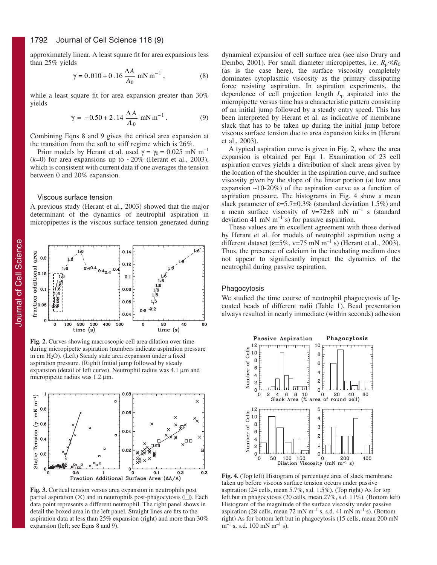approximately linear. A least square fit for area expansions less than 25% yields

$$
\gamma = 0.010 + 0.16 \frac{\Delta A}{A_0} \text{ mN m}^{-1}, \qquad (8)
$$

while a least square fit for area expansion greater than 30% yields

$$
\gamma = -0.50 + 2.14 \frac{\Delta A}{A_0} \text{ mN m}^{-1}. \tag{9}
$$

Combining Eqns 8 and 9 gives the critical area expansion at the transition from the soft to stiff regime which is 26%.

Prior models by Herant et al. used  $\gamma = \gamma_0 = 0.025$  mN m<sup>-1</sup> (*k*=0) for area expansions up to ∼20% (Herant et al., 2003), which is consistent with current data if one averages the tension between 0 and 20% expansion.

#### Viscous surface tension

A previous study (Herant et al., 2003) showed that the major determinant of the dynamics of neutrophil aspiration in micropipettes is the viscous surface tension generated during



**Fig. 2.** Curves showing macroscopic cell area dilation over time during micropipette aspiration (numbers indicate aspiration pressure in cm  $H_2O$ ). (Left) Steady state area expansion under a fixed aspiration pressure. (Right) Initial jump followed by steady expansion (detail of left curve). Neutrophil radius was 4.1 µm and micropipette radius was 1.2 µm.



**Fig. 3.** Cortical tension versus area expansion in neutrophils post partial aspiration  $(\times)$  and in neutrophils post-phagocytosis ( $\square$ ). Each data point represents a different neutrophil. The right panel shows in detail the boxed area in the left panel. Straight lines are fits to the aspiration data at less than 25% expansion (right) and more than 30% expansion (left; see Eqns 8 and 9).

dynamical expansion of cell surface area (see also Drury and Dembo, 2001). For small diameter micropipettes, i.e.  $R_p \ll R_0$ (as is the case here), the surface viscosity completely dominates cytoplasmic viscosity as the primary dissipating force resisting aspiration. In aspiration experiments, the dependence of cell projection length *L*<sup>p</sup> aspirated into the micropipette versus time has a characteristic pattern consisting of an initial jump followed by a steady entry speed. This has been interpreted by Herant et al. as indicative of membrane slack that has to be taken up during the initial jump before viscous surface tension due to area expansion kicks in (Herant et al., 2003).

A typical aspiration curve is given in Fig. 2, where the area expansion is obtained per Eqn 1. Examination of 23 cell aspiration curves yields a distribution of slack areas given by the location of the shoulder in the aspiration curve, and surface viscosity given by the slope of the linear portion (at low area expansion ∼10-20%) of the aspiration curve as a function of aspiration pressure. The histograms in Fig. 4 show a mean slack parameter of  $\varepsilon = 5.7 \pm 0.3\%$  (standard deviation 1.5%) and a mean surface viscosity of  $v=72\pm8$  mN m<sup>-1</sup> s (standard deviation 41 mN  $m^{-1}$  s) for passive aspiration.

These values are in excellent agreement with those derived by Herant et al. for models of neutrophil aspiration using a different dataset ( $\varepsilon$ =5%,  $v=75$  mN m<sup>-1</sup> s) (Herant et al., 2003). Thus, the presence of calcium in the incubating medium does not appear to significantly impact the dynamics of the neutrophil during passive aspiration.

#### Phagocytosis

We studied the time course of neutrophil phagocytosis of Igcoated beads of different radii (Table 1). Bead presentation always resulted in nearly immediate (within seconds) adhesion



**Fig. 4.** (Top left) Histogram of percentage area of slack membrane taken up before viscous surface tension occurs under passive aspiration (24 cells, mean 5.7%, s.d. 1.5%). (Top right) As for top left but in phagocytosis (20 cells, mean 27%, s.d. 11%). (Bottom left) Histogram of the magnitude of the surface viscosity under passive aspiration (28 cells, mean 72 mN  $m^{-1}$  s, s.d. 41 mN  $m^{-1}$  s). (Bottom right) As for bottom left but in phagocytosis (15 cells, mean 200 mN  $m^{-1}$  s, s.d. 100 mN  $m^{-1}$  s).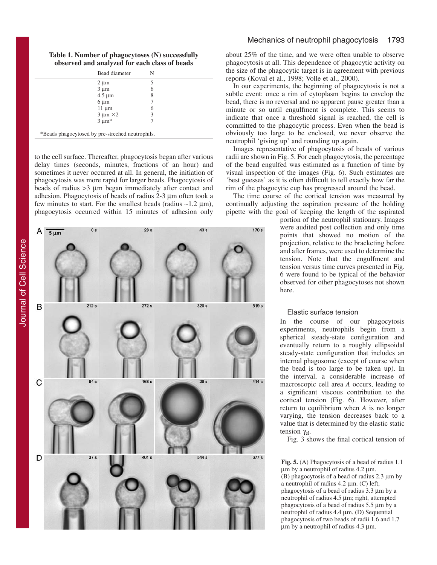| Bead diameter      | N |  |
|--------------------|---|--|
| $2 \mu m$          |   |  |
| $3 \mu m$          | 6 |  |
| $4.5 \mu m$        | 8 |  |
| $6 \mu m$          |   |  |
| $11 \mu m$         | 6 |  |
| $3 \mu m \times 2$ | 3 |  |
| $3 \mu m^*$        |   |  |

to the cell surface. Thereafter, phagocytosis began after various delay times (seconds, minutes, fractions of an hour) and sometimes it never occurred at all. In general, the initiation of phagocytosis was more rapid for larger beads. Phagocytosis of beads of radius >3 µm began immediately after contact and adhesion. Phagocytosis of beads of radius 2-3 µm often took a few minutes to start. For the smallest beads (radius ∼1.2 µm), phagocytosis occurred within 15 minutes of adhesion only

Journal of Cell Science

Journal of Cell Science

 $0 s$  $28<sub>s</sub>$  $43 s$ 170 s Α  $5 \mu m$  $212s$  $272s$  $320 s$  $519s$ B  $64 s$  $414 s$  $168 s$  $29<sub>s</sub>$ C  $401 s$ 544 s D  $37<sub>s</sub>$ 677 s

about 25% of the time, and we were often unable to observe phagocytosis at all. This dependence of phagocytic activity on the size of the phagocytic target is in agreement with previous reports (Koval et al., 1998; Volle et al., 2000).

In our experiments, the beginning of phagocytosis is not a subtle event: once a rim of cytoplasm begins to envelop the bead, there is no reversal and no apparent pause greater than a minute or so until engulfment is complete. This seems to indicate that once a threshold signal is reached, the cell is committed to the phagocytic process. Even when the bead is obviously too large to be enclosed, we never observe the neutrophil 'giving up' and rounding up again.

Images representative of phagocytosis of beads of various radii are shown in Fig. 5. For each phagocytosis, the percentage of the bead engulfed was estimated as a function of time by visual inspection of the images (Fig. 6). Such estimates are 'best guesses' as it is often difficult to tell exactly how far the rim of the phagocytic cup has progressed around the bead.

The time course of the cortical tension was measured by continually adjusting the aspiration pressure of the holding pipette with the goal of keeping the length of the aspirated

> portion of the neutrophil stationary. Images were audited post collection and only time points that showed no motion of the projection, relative to the bracketing before and after frames, were used to determine the tension. Note that the engulfment and tension versus time curves presented in Fig. 6 were found to be typical of the behavior observed for other phagocytoses not shown here.

#### Elastic surface tension

In the course of our phagocytosis experiments, neutrophils begin from a spherical steady-state configuration and eventually return to a roughly ellipsoidal steady-state configuration that includes an internal phagosome (except of course when the bead is too large to be taken up). In the interval, a considerable increase of macroscopic cell area *A* occurs, leading to a significant viscous contribution to the cortical tension (Fig. 6). However, after return to equilibrium when *A* is no longer varying, the tension decreases back to a value that is determined by the elastic static tension  $γ_{el}$ .

Fig. 3 shows the final cortical tension of

**Fig. 5.** (A) Phagocytosis of a bead of radius 1.1 µm by a neutrophil of radius 4.2 µm. (B) phagocytosis of a bead of radius 2.3 µm by a neutrophil of radius  $4.2 \mu m$ . (C) left, phagocytosis of a bead of radius 3.3 µm by a neutrophil of radius 4.5 µm; right, attempted phagocytosis of a bead of radius 5.5 µm by a neutrophil of radius 4.4 µm. (D) Sequential phagocytosis of two beads of radii 1.6 and 1.7 µm by a neutrophil of radius 4.3 µm.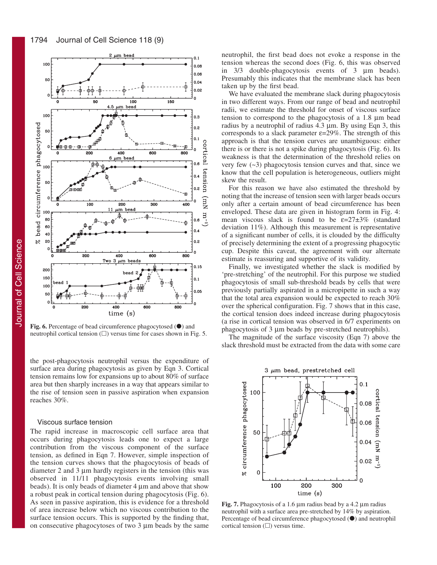

Fig. 6. Percentage of bead circumference phagocytosed ( $\bullet$ ) and neutrophil cortical tension  $(\Box)$  versus time for cases shown in Fig. 5.

the post-phagocytosis neutrophil versus the expenditure of surface area during phagocytosis as given by Eqn 3. Cortical tension remains low for expansions up to about 80% of surface area but then sharply increases in a way that appears similar to the rise of tension seen in passive aspiration when expansion reaches 30%.

#### Viscous surface tension

The rapid increase in macroscopic cell surface area that occurs during phagocytosis leads one to expect a large contribution from the viscous component of the surface tension, as defined in Eqn 7. However, simple inspection of the tension curves shows that the phagocytosis of beads of diameter 2 and 3 µm hardly registers in the tension (this was observed in 11/11 phagocytosis events involving small beads). It is only beads of diameter 4 µm and above that show a robust peak in cortical tension during phagocytosis (Fig. 6). As seen in passive aspiration, this is evidence for a threshold of area increase below which no viscous contribution to the surface tension occurs. This is supported by the finding that, on consecutive phagocytoses of two 3 µm beads by the same

neutrophil, the first bead does not evoke a response in the tension whereas the second does (Fig. 6, this was observed in 3/3 double-phagocytosis events of 3 µm beads). Presumably this indicates that the membrane slack has been taken up by the first bead.

We have evaluated the membrane slack during phagocytosis in two different ways. From our range of bead and neutrophil radii, we estimate the threshold for onset of viscous surface tension to correspond to the phagocytosis of a 1.8 µm bead radius by a neutrophil of radius 4.3 µm. By using Eqn 3, this corresponds to a slack parameter  $\varepsilon$ =29%. The strength of this approach is that the tension curves are unambiguous: either there is or there is not a spike during phagocytosis (Fig. 6). Its weakness is that the determination of the threshold relies on very few (~3) phagocytosis tension curves and that, since we know that the cell population is heterogeneous, outliers might skew the result.

For this reason we have also estimated the threshold by noting that the increase of tension seen with larger beads occurs only after a certain amount of bead circumference has been enveloped. These data are given in histogram form in Fig. 4: mean viscous slack is found to be  $\varepsilon = 27 \pm 3\%$  (standard deviation 11%). Although this measurement is representative of a significant number of cells, it is clouded by the difficulty of precisely determining the extent of a progressing phagocytic cup. Despite this caveat, the agreement with our alternate estimate is reassuring and supportive of its validity.

Finally, we investigated whether the slack is modified by 'pre-stretching' of the neutrophil. For this purpose we studied phagocytosis of small sub-threshold beads by cells that were previously partially aspirated in a micropipette in such a way that the total area expansion would be expected to reach 30% over the spherical configuration. Fig. 7 shows that in this case, the cortical tension does indeed increase during phagocytosis (a rise in cortical tension was observed in 6/7 experiments on phagocytosis of 3 µm beads by pre-stretched neutrophils).

The magnitude of the surface viscosity (Eqn 7) above the slack threshold must be extracted from the data with some care



**Fig. 7.** Phagocytosis of a 1.6 µm radius bead by a 4.2 µm radius neutrophil with a surface area pre-stretched by 14% by aspiration. Percentage of bead circumference phagocytosed ( $\bullet$ ) and neutrophil cortical tension  $(\square)$  versus time.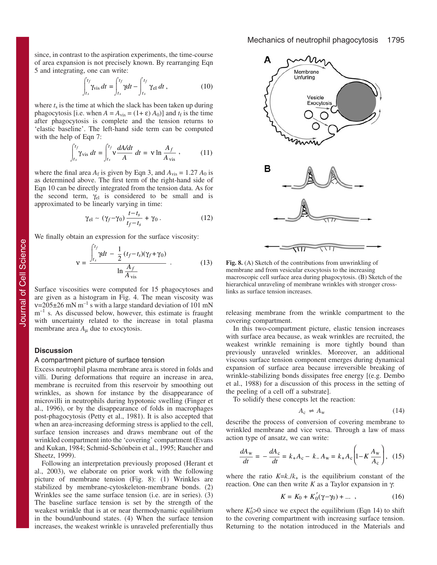since, in contrast to the aspiration experiments, the time-course of area expansion is not precisely known. By rearranging Eqn 5 and integrating, one can write:

$$
\int_{t_s}^{t_f} \gamma_{\text{vis}} \, dt = \int_{t_s}^{t_f} \gamma dt - \int_{t_s}^{t_f} \gamma_{\text{el}} \, dt \,, \tag{10}
$$

where  $t_s$  is the time at which the slack has been taken up during phagocytosis [i.e. when  $A = A_{\text{vis}} = (1 + \varepsilon) A_0$ ] and  $t_f$  is the time after phagocytosis is complete and the tension returns to 'elastic baseline'. The left-hand side term can be computed with the help of Eqn 7:

$$
\int_{t_s}^{t_f} \gamma_{\text{vis}} \, dt = \int_{t_s}^{t_f} \nu \frac{dA/dt}{A} \, dt = \nu \ln \frac{A_f}{A_{\text{vis}}},\tag{11}
$$

where the final area  $A_f$  is given by Eqn 3, and  $A_{vis} = 1.27 A_0$  is as determined above. The first term of the right-hand side of Eqn 10 can be directly integrated from the tension data. As for the second term,  $\gamma_{el}$  is considered to be small and is approximated to be linearly varying in time:

$$
\gamma_{\rm el} \sim (\gamma_f - \gamma_0) \frac{t - t_s}{t_f - t_s} + \gamma_0 \,. \tag{12}
$$

We finally obtain an expression for the surface viscosity:

$$
\mathbf{v} = \frac{\int_{t_s}^{t_f} \gamma dt - \frac{1}{2} (t_f - t_s)(\gamma_f + \gamma_0)}{\ln \frac{A_f}{A_{\text{vis}}}} \tag{13}
$$

Surface viscosities were computed for 15 phagocytoses and are given as a histogram in Fig. 4. The mean viscosity was  $v=205\pm26$  mN m<sup>-1</sup> s with a large standard deviation of 101 mN  $m^{-1}$  s. As discussed below, however, this estimate is fraught with uncertainty related to the increase in total plasma membrane area  $A_{\mu}$  due to exocytosis.

# **Discussion**

#### A compartment picture of surface tension

Excess neutrophil plasma membrane area is stored in folds and villi. During deformations that require an increase in area, membrane is recruited from this reservoir by smoothing out wrinkles, as shown for instance by the disappearance of microvilli in neutrophils during hypotonic swelling (Finger et al., 1996), or by the disappearance of folds in macrophages post-phagocytosis (Petty et al., 1981). It is also accepted that when an area-increasing deforming stress is applied to the cell, surface tension increases and draws membrane out of the wrinkled compartment into the 'covering' compartment (Evans and Kukan, 1984; Schmid-Schönbein et al., 1995; Raucher and Sheetz, 1999).

Following an interpretation previously proposed (Herant et al., 2003), we elaborate on prior work with the following picture of membrane tension (Fig. 8): (1) Wrinkles are stabilized by membrane-cytoskeleton-membrane bonds. (2) Wrinkles see the same surface tension (i.e. are in series). (3) The baseline surface tension is set by the strength of the weakest wrinkle that is at or near thermodynamic equilibrium in the bound/unbound states. (4) When the surface tension increases, the weakest wrinkle is unraveled preferentially thus



**Fig. 8.** (A) Sketch of the contributions from unwrinkling of membrane and from vesicular exocytosis to the increasing macroscopic cell surface area during phagocytosis. (B) Sketch of the hierarchical unraveling of membrane wrinkles with stronger crosslinks as surface tension increases.

releasing membrane from the wrinkle compartment to the covering compartment.

In this two-compartment picture, elastic tension increases with surface area because, as weak wrinkles are recruited, the weakest wrinkle remaining is more tightly bound than previously unraveled wrinkles. Moreover, an additional viscous surface tension component emerges during dynamical expansion of surface area because irreversible breaking of wrinkle-stabilizing bonds dissipates free energy [(e.g. Dembo et al., 1988) for a discussion of this process in the setting of the peeling of a cell off a substrate].

To solidify these concepts let the reaction:

$$
A_{\rm c} \rightleftharpoons A_{\rm w} \tag{14}
$$

describe the process of conversion of covering membrane to wrinkled membrane and vice versa. Through a law of mass action type of ansatz, we can write:

$$
\frac{dA_{\rm w}}{dt} = -\frac{dA_{\rm c}}{dt} = k_{+}A_{\rm c} - k_{-}A_{\rm w} = k_{+}A_{\rm c} \left(1 - K\frac{A_{\rm w}}{A_{\rm c}}\right), \tag{15}
$$

where the ratio  $K=k/k_{+}$  is the equilibrium constant of the reaction. One can then write *K* as a Taylor expansion in γ:

$$
K = K_0 + K'_0(\gamma - \gamma_0) + \dots \t{,} \t(16)
$$

where  $K_0$ <sup> $\geq$ </sub>O since we expect the equilibrium (Eqn 14) to shift</sup> to the covering compartment with increasing surface tension. Returning to the notation introduced in the Materials and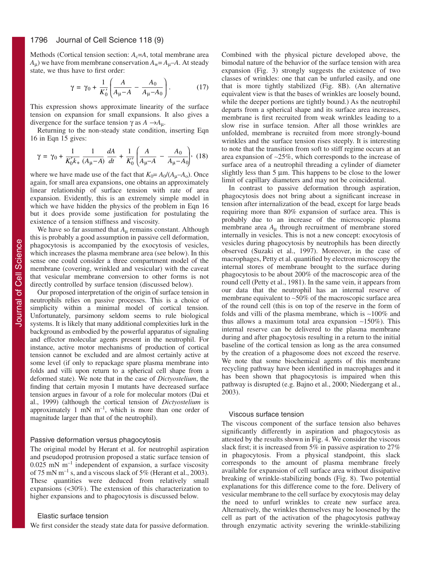Methods (Cortical tension section:  $A_c = A$ , total membrane area  $A<sub>u</sub>$ ) we have from membrane conservation  $A<sub>w</sub> = A<sub>u</sub> - A$ . At steady state, we thus have to first order:

$$
\gamma = \gamma_0 + \frac{1}{K_0'} \left( \frac{A}{A_{\mu} - A} - \frac{A_0}{A_{\mu} - A_0} \right). \tag{17}
$$

This expression shows approximate linearity of the surface tension on expansion for small expansions. It also gives a divergence for the surface tension  $\gamma$  as  $A \rightarrow A_{\text{II}}$ .

Returning to the non-steady state condition, inserting Eqn 16 in Eqn 15 gives:

$$
\gamma = \gamma_0 + \frac{1}{K_0'k_+} \frac{1}{(A_\mu - A)} \frac{dA}{dt} + \frac{1}{K_0'} \left( \frac{A}{A_\mu - A} - \frac{A_0}{A_\mu - A_0} \right), (18)
$$

where we have made use of the fact that  $K_0 = A_0/(A_0-A_0)$ . Once again, for small area expansions, one obtains an approximately linear relationship of surface tension with rate of area expansion. Evidently, this is an extremely simple model in which we have hidden the physics of the problem in Eqn 16 but it does provide some justification for postulating the existence of a tension stiffness and viscosity.

We have so far assumed that  $A<sub>u</sub>$  remains constant. Although this is probably a good assumption in passive cell deformation, phagocytosis is accompanied by the exocytosis of vesicles, which increases the plasma membrane area (see below). In this sense one could consider a three compartment model of the membrane (covering, wrinkled and vesicular) with the caveat that vesicular membrane conversion to other forms is not directly controlled by surface tension (discussed below).

Our proposed interpretation of the origin of surface tension in neutrophils relies on passive processes. This is a choice of simplicity within a minimal model of cortical tension. Unfortunately, parsimony seldom seems to rule biological systems. It is likely that many additional complexities lurk in the background as embodied by the powerful apparatus of signaling and effector molecular agents present in the neutrophil. For instance, active motor mechanisms of production of cortical tension cannot be excluded and are almost certainly active at some level (if only to repackage spare plasma membrane into folds and villi upon return to a spherical cell shape from a deformed state). We note that in the case of *Dictyostelium*, the finding that certain myosin I mutants have decreased surface tension argues in favour of a role for molecular motors (Dai et al., 1999) (although the cortical tension of *Dictyostelium* is approximately 1 mN  $m^{-1}$ , which is more than one order of magnitude larger than that of the neutrophil).

### Passive deformation versus phagocytosis

The original model by Herant et al. for neutrophil aspiration and pseudopod protrusion proposed a static surface tension of  $0.025$  mN  $\text{m}^{-1}$  independent of expansion, a surface viscosity of 75 mN  $m^{-1}$  s, and a viscous slack of 5% (Herant et al., 2003). These quantities were deduced from relatively small expansions (<30%). The extension of this characterization to higher expansions and to phagocytosis is discussed below.

## Elastic surface tension

We first consider the steady state data for passive deformation.

Combined with the physical picture developed above, the bimodal nature of the behavior of the surface tension with area expansion (Fig. 3) strongly suggests the existence of two classes of wrinkles: one that can be unfurled easily, and one that is more tightly stabilized (Fig. 8B). (An alternative equivalent view is that the bases of wrinkles are loosely bound, while the deeper portions are tightly bound.) As the neutrophil departs from a spherical shape and its surface area increases, membrane is first recruited from weak wrinkles leading to a slow rise in surface tension. After all those wrinkles are unfolded, membrane is recruited from more strongly-bound wrinkles and the surface tension rises steeply. It is interesting to note that the transition from soft to stiff regime occurs at an area expansion of ∼25%, which corresponds to the increase of surface area of a neutrophil threading a cylinder of diameter slightly less than 5  $\mu$ m. This happens to be close to the lower limit of capillary diameters and may not be coincidental.

In contrast to passive deformation through aspiration, phagocytosis does not bring about a significant increase in tension after internalization of the bead, except for large beads requiring more than 80% expansion of surface area. This is probably due to an increase of the microscopic plasma membrane area *A*<sup>µ</sup> through recruitment of membrane stored internally in vesicles. This is not a new concept: exocytosis of vesicles during phagocytosis by neutrophils has been directly observed (Suzaki et al., 1997). Moreover, in the case of macrophages, Petty et al. quantified by electron microscopy the internal stores of membrane brought to the surface during phagocytosis to be about 200% of the macroscopic area of the round cell (Petty et al., 1981). In the same vein, it appears from our data that the neutrophil has an internal reserve of membrane equivalent to ~50% of the macroscopic surface area of the round cell (this is on top of the reserve in the form of folds and villi of the plasma membrane, which is ∼100% and thus allows a maximum total area expansion ∼150%). This internal reserve can be delivered to the plasma membrane during and after phagocytosis resulting in a return to the initial baseline of the cortical tension as long as the area consumed by the creation of a phagosome does not exceed the reserve. We note that some biochemical agents of this membrane recycling pathway have been identified in macrophages and it has been shown that phagocytosis is impaired when this pathway is disrupted (e.g. Bajno et al., 2000; Niedergang et al., 2003).

## Viscous surface tension

The viscous component of the surface tension also behaves significantly differently in aspiration and phagocytosis as attested by the results shown in Fig. 4. We consider the viscous slack first; it is increased from 5% in passive aspiration to 27% in phagocytosis. From a physical standpoint, this slack corresponds to the amount of plasma membrane freely available for expansion of cell surface area without dissipative breaking of wrinkle-stabilizing bonds (Fig. 8). Two potential explanations for this difference come to the fore. Delivery of vesicular membrane to the cell surface by exocytosis may delay the need to unfurl wrinkles to create new surface area. Alternatively, the wrinkles themselves may be loosened by the cell as part of the activation of the phagocytosis pathway through enzymatic activity severing the wrinkle-stabilizing